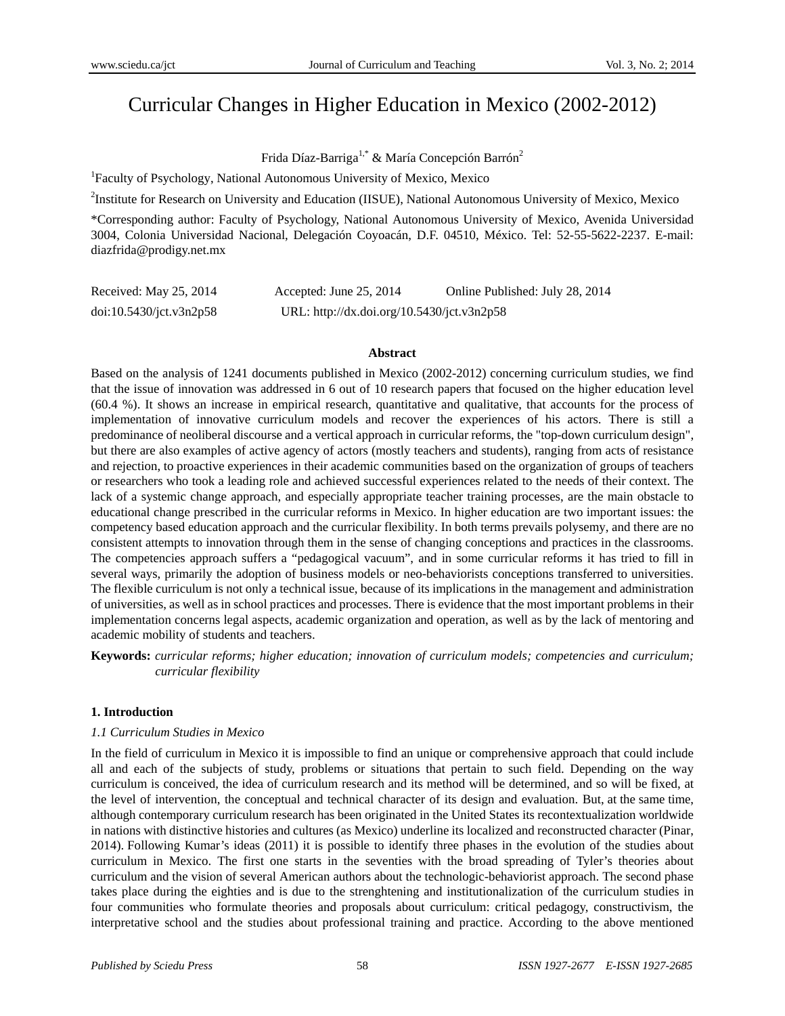# Curricular Changes in Higher Education in Mexico (2002-2012)

# Frida Díaz-Barriga<sup>1,\*</sup> & María Concepción Barrón<sup>2</sup>

<sup>1</sup>Faculty of Psychology, National Autonomous University of Mexico, Mexico

<sup>2</sup>Institute for Research on University and Education (IISUE), National Autonomous University of Mexico, Mexico

\*Corresponding author: Faculty of Psychology, National Autonomous University of Mexico, Avenida Universidad 3004, Colonia Universidad Nacional, Delegación Coyoacán, D.F. 04510, México. Tel: 52-55-5622-2237. E-mail: diazfrida@prodigy.net.mx

| Received: May 25, 2014  | Accepted: June $25, 2014$                  | Online Published: July 28, 2014 |
|-------------------------|--------------------------------------------|---------------------------------|
| doi:10.5430/ict.v3n2p58 | URL: http://dx.doi.org/10.5430/jct.v3n2p58 |                                 |

#### **Abstract**

Based on the analysis of 1241 documents published in Mexico (2002-2012) concerning curriculum studies, we find that the issue of innovation was addressed in 6 out of 10 research papers that focused on the higher education level (60.4 %). It shows an increase in empirical research, quantitative and qualitative, that accounts for the process of implementation of innovative curriculum models and recover the experiences of his actors. There is still a predominance of neoliberal discourse and a vertical approach in curricular reforms, the "top-down curriculum design", but there are also examples of active agency of actors (mostly teachers and students), ranging from acts of resistance and rejection, to proactive experiences in their academic communities based on the organization of groups of teachers or researchers who took a leading role and achieved successful experiences related to the needs of their context. The lack of a systemic change approach, and especially appropriate teacher training processes, are the main obstacle to educational change prescribed in the curricular reforms in Mexico. In higher education are two important issues: the competency based education approach and the curricular flexibility. In both terms prevails polysemy, and there are no consistent attempts to innovation through them in the sense of changing conceptions and practices in the classrooms. The competencies approach suffers a "pedagogical vacuum", and in some curricular reforms it has tried to fill in several ways, primarily the adoption of business models or neo-behaviorists conceptions transferred to universities. The flexible curriculum is not only a technical issue, because of its implications in the management and administration of universities, as well as in school practices and processes. There is evidence that the most important problems in their implementation concerns legal aspects, academic organization and operation, as well as by the lack of mentoring and academic mobility of students and teachers.

**Keywords:** *curricular reforms; higher education; innovation of curriculum models; competencies and curriculum; curricular flexibility* 

#### **1. Introduction**

#### *1.1 Curriculum Studies in Mexico*

In the field of curriculum in Mexico it is impossible to find an unique or comprehensive approach that could include all and each of the subjects of study, problems or situations that pertain to such field. Depending on the way curriculum is conceived, the idea of curriculum research and its method will be determined, and so will be fixed, at the level of intervention, the conceptual and technical character of its design and evaluation. But, at the same time, although contemporary curriculum research has been originated in the United States its recontextualization worldwide in nations with distinctive histories and cultures (as Mexico) underline its localized and reconstructed character (Pinar, 2014). Following Kumar's ideas (2011) it is possible to identify three phases in the evolution of the studies about curriculum in Mexico. The first one starts in the seventies with the broad spreading of Tyler's theories about curriculum and the vision of several American authors about the technologic-behaviorist approach. The second phase takes place during the eighties and is due to the strenghtening and institutionalization of the curriculum studies in four communities who formulate theories and proposals about curriculum: critical pedagogy, constructivism, the interpretative school and the studies about professional training and practice. According to the above mentioned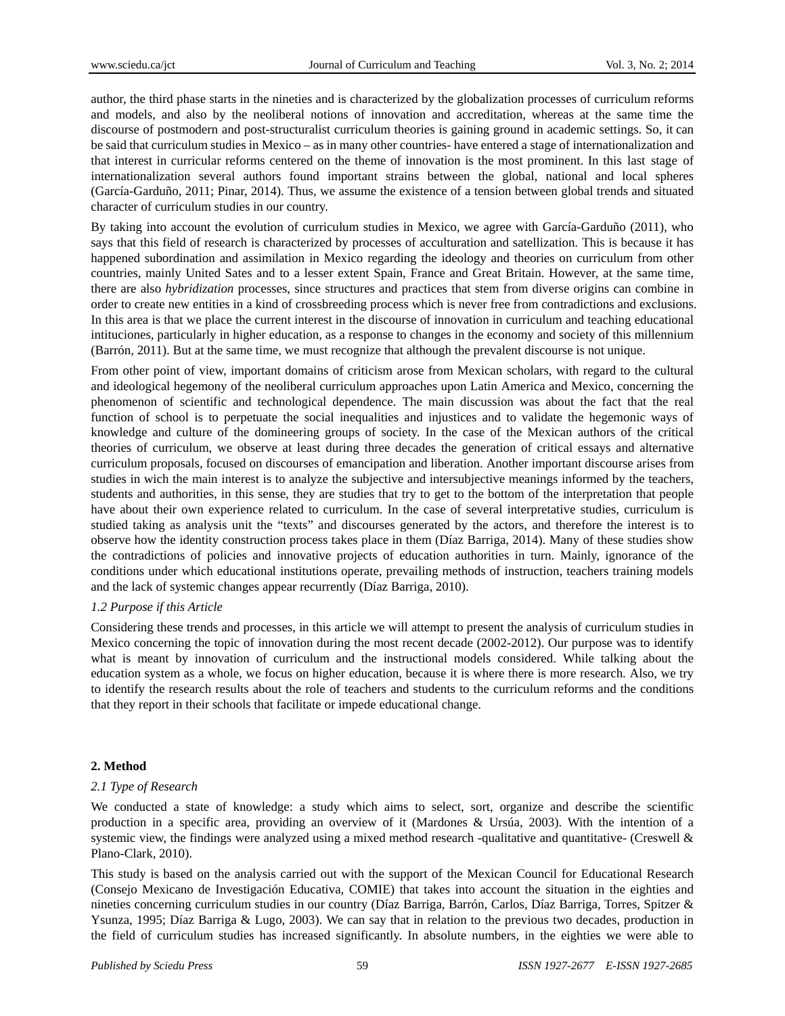author, the third phase starts in the nineties and is characterized by the globalization processes of curriculum reforms and models, and also by the neoliberal notions of innovation and accreditation, whereas at the same time the discourse of postmodern and post-structuralist curriculum theories is gaining ground in academic settings. So, it can be said that curriculum studies in Mexico – as in many other countries- have entered a stage of internationalization and that interest in curricular reforms centered on the theme of innovation is the most prominent. In this last stage of internationalization several authors found important strains between the global, national and local spheres (García-Garduño, 2011; Pinar, 2014). Thus, we assume the existence of a tension between global trends and situated character of curriculum studies in our country.

By taking into account the evolution of curriculum studies in Mexico, we agree with García-Garduño (2011), who says that this field of research is characterized by processes of acculturation and satellization. This is because it has happened subordination and assimilation in Mexico regarding the ideology and theories on curriculum from other countries, mainly United Sates and to a lesser extent Spain, France and Great Britain. However, at the same time, there are also *hybridization* processes, since structures and practices that stem from diverse origins can combine in order to create new entities in a kind of crossbreeding process which is never free from contradictions and exclusions. In this area is that we place the current interest in the discourse of innovation in curriculum and teaching educational intituciones, particularly in higher education, as a response to changes in the economy and society of this millennium (Barrón, 2011). But at the same time, we must recognize that although the prevalent discourse is not unique.

From other point of view, important domains of criticism arose from Mexican scholars, with regard to the cultural and ideological hegemony of the neoliberal curriculum approaches upon Latin America and Mexico, concerning the phenomenon of scientific and technological dependence. The main discussion was about the fact that the real function of school is to perpetuate the social inequalities and injustices and to validate the hegemonic ways of knowledge and culture of the domineering groups of society. In the case of the Mexican authors of the critical theories of curriculum, we observe at least during three decades the generation of critical essays and alternative curriculum proposals, focused on discourses of emancipation and liberation. Another important discourse arises from studies in wich the main interest is to analyze the subjective and intersubjective meanings informed by the teachers, students and authorities, in this sense, they are studies that try to get to the bottom of the interpretation that people have about their own experience related to curriculum. In the case of several interpretative studies, curriculum is studied taking as analysis unit the "texts" and discourses generated by the actors, and therefore the interest is to observe how the identity construction process takes place in them (Díaz Barriga, 2014). Many of these studies show the contradictions of policies and innovative projects of education authorities in turn. Mainly, ignorance of the conditions under which educational institutions operate, prevailing methods of instruction, teachers training models and the lack of systemic changes appear recurrently (Díaz Barriga, 2010).

## *1.2 Purpose if this Article*

Considering these trends and processes, in this article we will attempt to present the analysis of curriculum studies in Mexico concerning the topic of innovation during the most recent decade (2002-2012). Our purpose was to identify what is meant by innovation of curriculum and the instructional models considered. While talking about the education system as a whole, we focus on higher education, because it is where there is more research. Also, we try to identify the research results about the role of teachers and students to the curriculum reforms and the conditions that they report in their schools that facilitate or impede educational change.

# **2. Method**

#### *2.1 Type of Research*

We conducted a state of knowledge: a study which aims to select, sort, organize and describe the scientific production in a specific area, providing an overview of it (Mardones & Ursúa, 2003). With the intention of a systemic view, the findings were analyzed using a mixed method research -qualitative and quantitative- (Creswell & Plano-Clark, 2010).

This study is based on the analysis carried out with the support of the Mexican Council for Educational Research (Consejo Mexicano de Investigación Educativa, COMIE) that takes into account the situation in the eighties and nineties concerning curriculum studies in our country (Díaz Barriga, Barrón, Carlos, Díaz Barriga, Torres, Spitzer & Ysunza, 1995; Díaz Barriga & Lugo, 2003). We can say that in relation to the previous two decades, production in the field of curriculum studies has increased significantly. In absolute numbers, in the eighties we were able to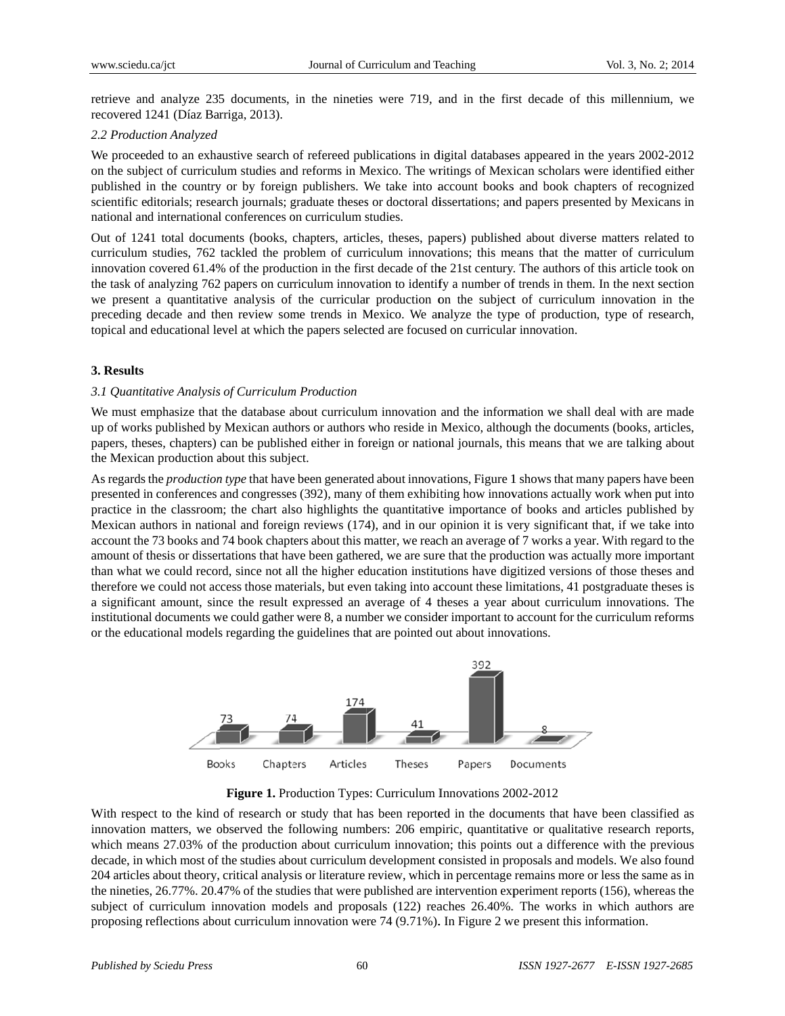retrieve and analyze 235 documents, in the nineties were 719, and in the first decade of this millennium, we recovered 1241 (Díaz Barriga, 2013).

#### 2.2 Production Analyzed

We proceeded to an exhaustive search of refereed publications in digital databases appeared in the years 2002-2012 on the subject of curriculum studies and reforms in Mexico. The writings of Mexican scholars were identified either published in the country or by foreign publishers. We take into account books and book chapters of recognized scientific editorials; research journals; graduate theses or doctoral dissertations; and papers presented by Mexicans in national and international conferences on curriculum studies.

Out of 1241 total documents (books, chapters, articles, theses, papers) published about diverse matters related to curriculum studies, 762 tackled the problem of curriculum innovations; this means that the matter of curriculum innovation covered 61.4% of the production in the first decade of the 21st century. The authors of this article took on the task of analyzing 762 papers on curriculum innovation to identify a number of trends in them. In the next section we present a quantitative analysis of the curricular production on the subject of curriculum innovation in the preceding decade and then review some trends in Mexico. We analyze the type of production, type of research, topical and educational level at which the papers selected are focused on curricular innovation.

#### 3. Results

#### 3.1 Ouantitative Analysis of Curriculum Production

We must emphasize that the database about curriculum innovation and the information we shall deal with are made up of works published by Mexican authors or authors who reside in Mexico, although the documents (books, articles, papers, theses, chapters) can be published either in foreign or national journals, this means that we are talking about the Mexican production about this subject.

As regards the *production type* that have been generated about innovations, Figure 1 shows that many papers have been presented in conferences and congresses (392), many of them exhibiting how innovations actually work when put into practice in the classroom; the chart also highlights the quantitative importance of books and articles published by Mexican authors in national and foreign reviews (174), and in our opinion it is very significant that, if we take into account the 73 books and 74 book chapters about this matter, we reach an average of 7 works a year. With regard to the amount of thesis or dissertations that have been gathered, we are sure that the production was actually more important than what we could record, since not all the higher education institutions have digitized versions of those theses and therefore we could not access those materials, but even taking into account these limitations, 41 postgraduate theses is a significant amount, since the result expressed an average of 4 theses a year about curriculum innovations. The institutional documents we could gather were 8, a number we consider important to account for the curriculum reforms or the educational models regarding the guidelines that are pointed out about innovations.





With respect to the kind of research or study that has been reported in the documents that have been classified as innovation matters, we observed the following numbers: 206 empiric, quantitative or qualitative research reports, which means 27.03% of the production about curriculum innovation; this points out a difference with the previous decade, in which most of the studies about curriculum development consisted in proposals and models. We also found 204 articles about theory, critical analysis or literature review, which in percentage remains more or less the same as in the nineties,  $26.77\%$ .  $20.47\%$  of the studies that were published are intervention experiment reports (156), whereas the subject of curriculum innovation models and proposals (122) reaches 26.40%. The works in which authors are proposing reflections about curriculum innovation were  $74 (9.71%)$ . In Figure 2 we present this information.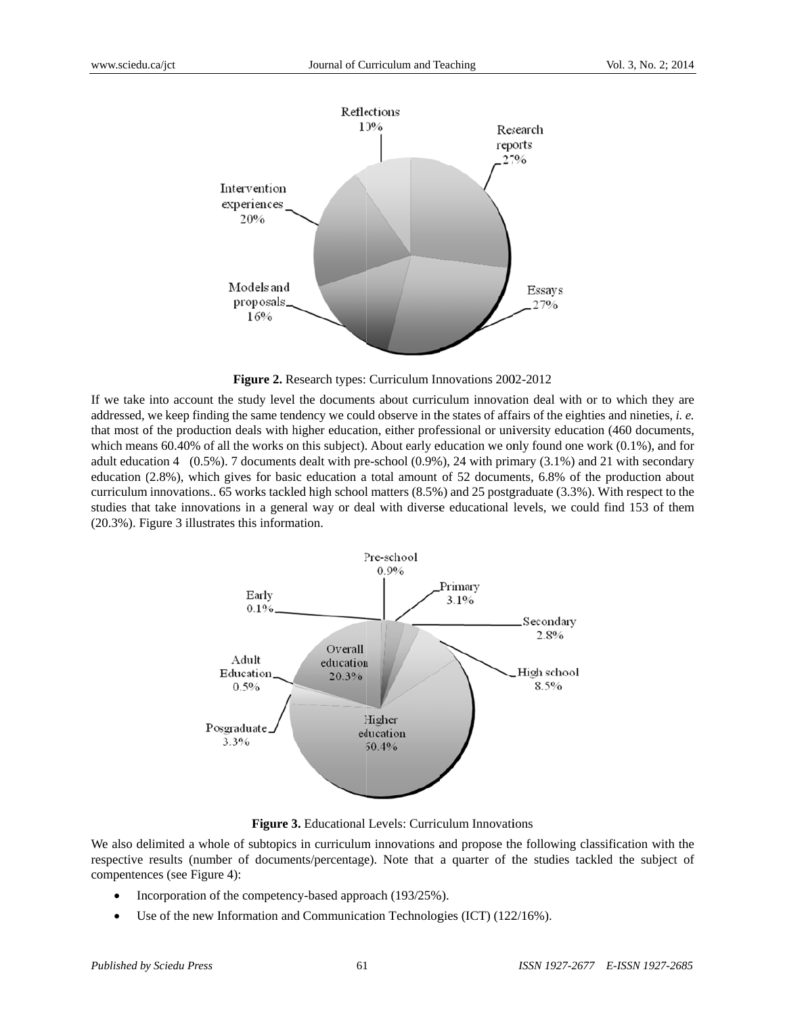

Figure 2. Research types: Curriculum Innovations 2002-2012

If we take into account the study level the documents about curriculum innovation deal with or to which they are addressed, we keep finding the same tendency we could observe in the states of affairs of the eighties and nineties, *i. e.* that most of the production deals with higher education, either professional or university education (460 documents, which means 60.40% of all the works on this subject). About early education we only found one work  $(0.1\%)$ , and for adult education 4  $(0.5\%)$ . 7 documents dealt with pre-school  $(0.9\%)$ , 24 with primary  $(3.1\%)$  and 21 with secondary education (2.8%), which gives for basic education a total amount of 52 documents, 6.8% of the production about curriculum innovations.. 65 works tackled high school matters (8.5%) and 25 postgraduate (3.3%). With respect to the studies that take innovations in a general way or deal with diverse educational levels, we could find 153 of them (20.3%). Figure 3 illustrates this information.



Figure 3. Educational Levels: Curriculum Innovations

We also delimited a whole of subtopics in curriculum innovations and propose the following classification with the respective results (number of documents/percentage). Note that a quarter of the studies tackled the subject of compentences (see Figure 4):

- Incorporation of the competency-based approach (193/25%).
- Use of the new Information and Communication Technologies (ICT) (122/16%).  $\bullet$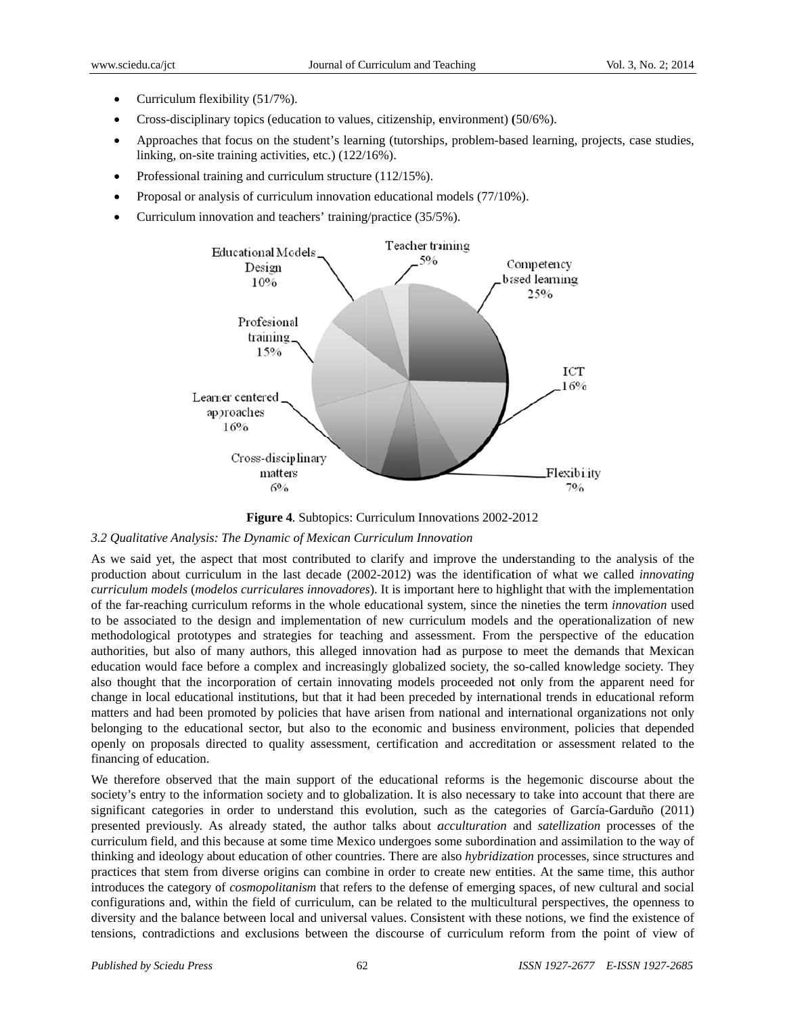- Curriculum flexibility (51/7%).
- Cross-disciplinary topics (education to values, citizenship, environment) (50/6%).
- Approaches that focus on the student's learning (tutorships, problem-based learning, projects, case studies, linking, on-site training activities, etc.) (122/16%).
- Professional training and curriculum structure (112/15%).
- Proposal or analysis of curriculum innovation educational models (77/10%).
- Curriculum innovation and teachers' training/practice (35/5%).



Figure 4. Subtopics: Curriculum Innovations 2002-2012

# 3.2 Qualitative Analysis: The Dynamic of Mexican Curriculum Innovation

As we said yet, the aspect that most contributed to clarify and improve the understanding to the analysis of the production about curriculum in the last decade (2002-2012) was the identification of what we called *innovating* curriculum models (modelos curriculares innovadores). It is important here to highlight that with the implementation of the far-reaching curriculum reforms in the whole educational system, since the nineties the term *innovation* used to be associated to the design and implementation of new curriculum models and the operationalization of new methodological prototypes and strategies for teaching and assessment. From the perspective of the education authorities, but also of many authors, this alleged innovation had as purpose to meet the demands that Mexican education would face before a complex and increasingly globalized society, the so-called knowledge society. They also thought that the incorporation of certain innovating models proceeded not only from the apparent need for change in local educational institutions, but that it had been preceded by international trends in educational reform matters and had been promoted by policies that have arisen from national and international organizations not only belonging to the educational sector, but also to the economic and business environment, policies that depended openly on proposals directed to quality assessment, certification and accreditation or assessment related to the financing of education.

We therefore observed that the main support of the educational reforms is the hegemonic discourse about the society's entry to the information society and to globalization. It is also necessary to take into account that there are significant categories in order to understand this evolution, such as the categories of García-Garduño (2011) presented previously. As already stated, the author talks about *acculturation* and *satellization* processes of the curriculum field, and this because at some time Mexico undergoes some subordination and assimilation to the way of thinking and ideology about education of other countries. There are also *hybridization* processes, since structures and practices that stem from diverse origins can combine in order to create new entities. At the same time, this author introduces the category of *cosmopolitanism* that refers to the defense of emerging spaces, of new cultural and social configurations and, within the field of curriculum, can be related to the multicultural perspectives, the openness to diversity and the balance between local and universal values. Consistent with these notions, we find the existence of tensions, contradictions and exclusions between the discourse of curriculum reform from the point of view of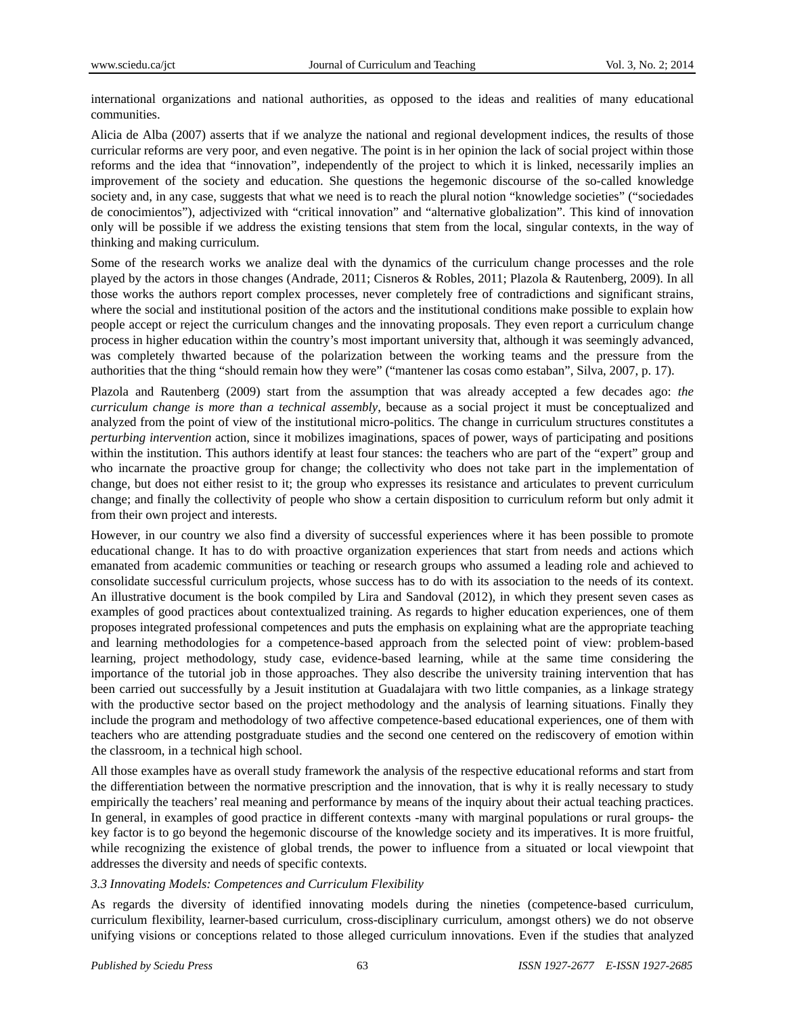international organizations and national authorities, as opposed to the ideas and realities of many educational communities.

Alicia de Alba (2007) asserts that if we analyze the national and regional development indices, the results of those curricular reforms are very poor, and even negative. The point is in her opinion the lack of social project within those reforms and the idea that "innovation", independently of the project to which it is linked, necessarily implies an improvement of the society and education. She questions the hegemonic discourse of the so-called knowledge society and, in any case, suggests that what we need is to reach the plural notion "knowledge societies" ("sociedades de conocimientos"), adjectivized with "critical innovation" and "alternative globalization". This kind of innovation only will be possible if we address the existing tensions that stem from the local, singular contexts, in the way of thinking and making curriculum.

Some of the research works we analize deal with the dynamics of the curriculum change processes and the role played by the actors in those changes (Andrade, 2011; Cisneros & Robles, 2011; Plazola & Rautenberg, 2009). In all those works the authors report complex processes, never completely free of contradictions and significant strains, where the social and institutional position of the actors and the institutional conditions make possible to explain how people accept or reject the curriculum changes and the innovating proposals. They even report a curriculum change process in higher education within the country's most important university that, although it was seemingly advanced, was completely thwarted because of the polarization between the working teams and the pressure from the authorities that the thing "should remain how they were" ("mantener las cosas como estaban", Silva, 2007, p. 17).

Plazola and Rautenberg (2009) start from the assumption that was already accepted a few decades ago: *the curriculum change is more than a technical assembly*, because as a social project it must be conceptualized and analyzed from the point of view of the institutional micro-politics. The change in curriculum structures constitutes a *perturbing intervention* action, since it mobilizes imaginations, spaces of power, ways of participating and positions within the institution. This authors identify at least four stances: the teachers who are part of the "expert" group and who incarnate the proactive group for change; the collectivity who does not take part in the implementation of change, but does not either resist to it; the group who expresses its resistance and articulates to prevent curriculum change; and finally the collectivity of people who show a certain disposition to curriculum reform but only admit it from their own project and interests.

However, in our country we also find a diversity of successful experiences where it has been possible to promote educational change. It has to do with proactive organization experiences that start from needs and actions which emanated from academic communities or teaching or research groups who assumed a leading role and achieved to consolidate successful curriculum projects, whose success has to do with its association to the needs of its context. An illustrative document is the book compiled by Lira and Sandoval (2012), in which they present seven cases as examples of good practices about contextualized training. As regards to higher education experiences, one of them proposes integrated professional competences and puts the emphasis on explaining what are the appropriate teaching and learning methodologies for a competence-based approach from the selected point of view: problem-based learning, project methodology, study case, evidence-based learning, while at the same time considering the importance of the tutorial job in those approaches. They also describe the university training intervention that has been carried out successfully by a Jesuit institution at Guadalajara with two little companies, as a linkage strategy with the productive sector based on the project methodology and the analysis of learning situations. Finally they include the program and methodology of two affective competence-based educational experiences, one of them with teachers who are attending postgraduate studies and the second one centered on the rediscovery of emotion within the classroom, in a technical high school.

All those examples have as overall study framework the analysis of the respective educational reforms and start from the differentiation between the normative prescription and the innovation, that is why it is really necessary to study empirically the teachers' real meaning and performance by means of the inquiry about their actual teaching practices. In general, in examples of good practice in different contexts -many with marginal populations or rural groups- the key factor is to go beyond the hegemonic discourse of the knowledge society and its imperatives. It is more fruitful, while recognizing the existence of global trends, the power to influence from a situated or local viewpoint that addresses the diversity and needs of specific contexts.

#### *3.3 Innovating Models: Competences and Curriculum Flexibility*

As regards the diversity of identified innovating models during the nineties (competence-based curriculum, curriculum flexibility, learner-based curriculum, cross-disciplinary curriculum, amongst others) we do not observe unifying visions or conceptions related to those alleged curriculum innovations. Even if the studies that analyzed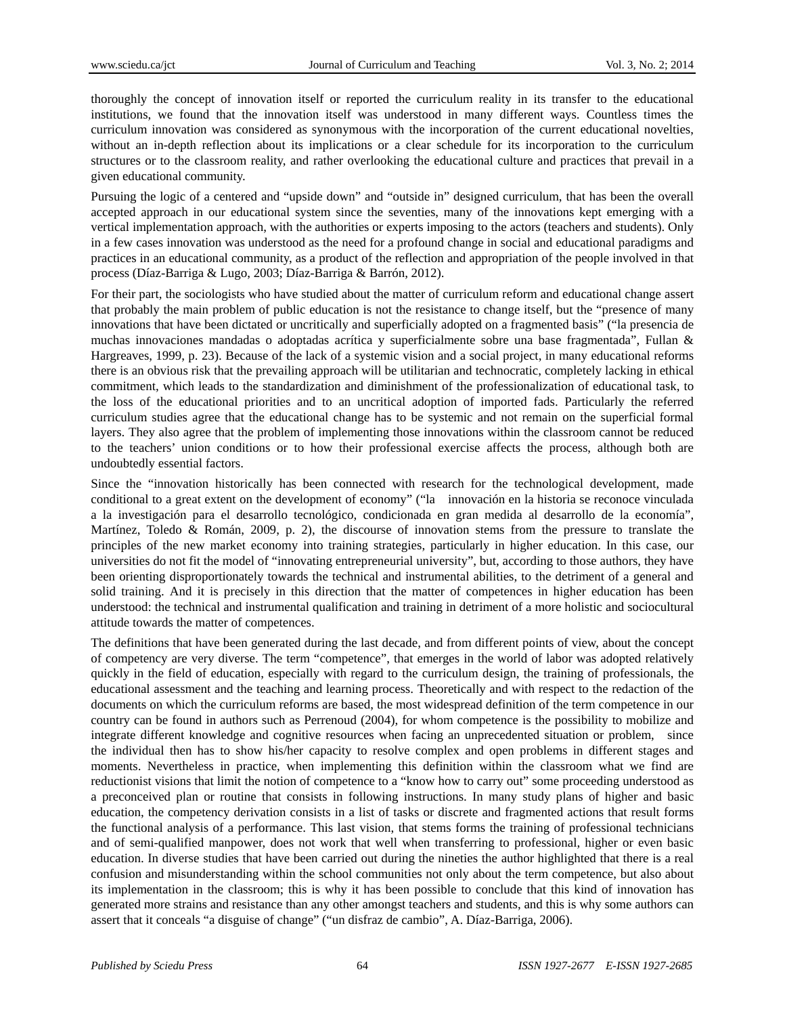thoroughly the concept of innovation itself or reported the curriculum reality in its transfer to the educational institutions, we found that the innovation itself was understood in many different ways. Countless times the curriculum innovation was considered as synonymous with the incorporation of the current educational novelties, without an in-depth reflection about its implications or a clear schedule for its incorporation to the curriculum structures or to the classroom reality, and rather overlooking the educational culture and practices that prevail in a given educational community.

Pursuing the logic of a centered and "upside down" and "outside in" designed curriculum, that has been the overall accepted approach in our educational system since the seventies, many of the innovations kept emerging with a vertical implementation approach, with the authorities or experts imposing to the actors (teachers and students). Only in a few cases innovation was understood as the need for a profound change in social and educational paradigms and practices in an educational community, as a product of the reflection and appropriation of the people involved in that process (Díaz-Barriga & Lugo, 2003; Díaz-Barriga & Barrón, 2012).

For their part, the sociologists who have studied about the matter of curriculum reform and educational change assert that probably the main problem of public education is not the resistance to change itself, but the "presence of many innovations that have been dictated or uncritically and superficially adopted on a fragmented basis" ("la presencia de muchas innovaciones mandadas o adoptadas acrítica y superficialmente sobre una base fragmentada", Fullan & Hargreaves, 1999, p. 23). Because of the lack of a systemic vision and a social project, in many educational reforms there is an obvious risk that the prevailing approach will be utilitarian and technocratic, completely lacking in ethical commitment, which leads to the standardization and diminishment of the professionalization of educational task, to the loss of the educational priorities and to an uncritical adoption of imported fads. Particularly the referred curriculum studies agree that the educational change has to be systemic and not remain on the superficial formal layers. They also agree that the problem of implementing those innovations within the classroom cannot be reduced to the teachers' union conditions or to how their professional exercise affects the process, although both are undoubtedly essential factors.

Since the "innovation historically has been connected with research for the technological development, made conditional to a great extent on the development of economy" ("la innovación en la historia se reconoce vinculada a la investigación para el desarrollo tecnológico, condicionada en gran medida al desarrollo de la economía", Martínez, Toledo & Román, 2009, p. 2), the discourse of innovation stems from the pressure to translate the principles of the new market economy into training strategies, particularly in higher education. In this case, our universities do not fit the model of "innovating entrepreneurial university", but, according to those authors, they have been orienting disproportionately towards the technical and instrumental abilities, to the detriment of a general and solid training. And it is precisely in this direction that the matter of competences in higher education has been understood: the technical and instrumental qualification and training in detriment of a more holistic and sociocultural attitude towards the matter of competences.

The definitions that have been generated during the last decade, and from different points of view, about the concept of competency are very diverse. The term "competence", that emerges in the world of labor was adopted relatively quickly in the field of education, especially with regard to the curriculum design, the training of professionals, the educational assessment and the teaching and learning process. Theoretically and with respect to the redaction of the documents on which the curriculum reforms are based, the most widespread definition of the term competence in our country can be found in authors such as Perrenoud (2004), for whom competence is the possibility to mobilize and integrate different knowledge and cognitive resources when facing an unprecedented situation or problem, since the individual then has to show his/her capacity to resolve complex and open problems in different stages and moments. Nevertheless in practice, when implementing this definition within the classroom what we find are reductionist visions that limit the notion of competence to a "know how to carry out" some proceeding understood as a preconceived plan or routine that consists in following instructions. In many study plans of higher and basic education, the competency derivation consists in a list of tasks or discrete and fragmented actions that result forms the functional analysis of a performance. This last vision, that stems forms the training of professional technicians and of semi-qualified manpower, does not work that well when transferring to professional, higher or even basic education. In diverse studies that have been carried out during the nineties the author highlighted that there is a real confusion and misunderstanding within the school communities not only about the term competence, but also about its implementation in the classroom; this is why it has been possible to conclude that this kind of innovation has generated more strains and resistance than any other amongst teachers and students, and this is why some authors can assert that it conceals "a disguise of change" ("un disfraz de cambio", A. Díaz-Barriga, 2006).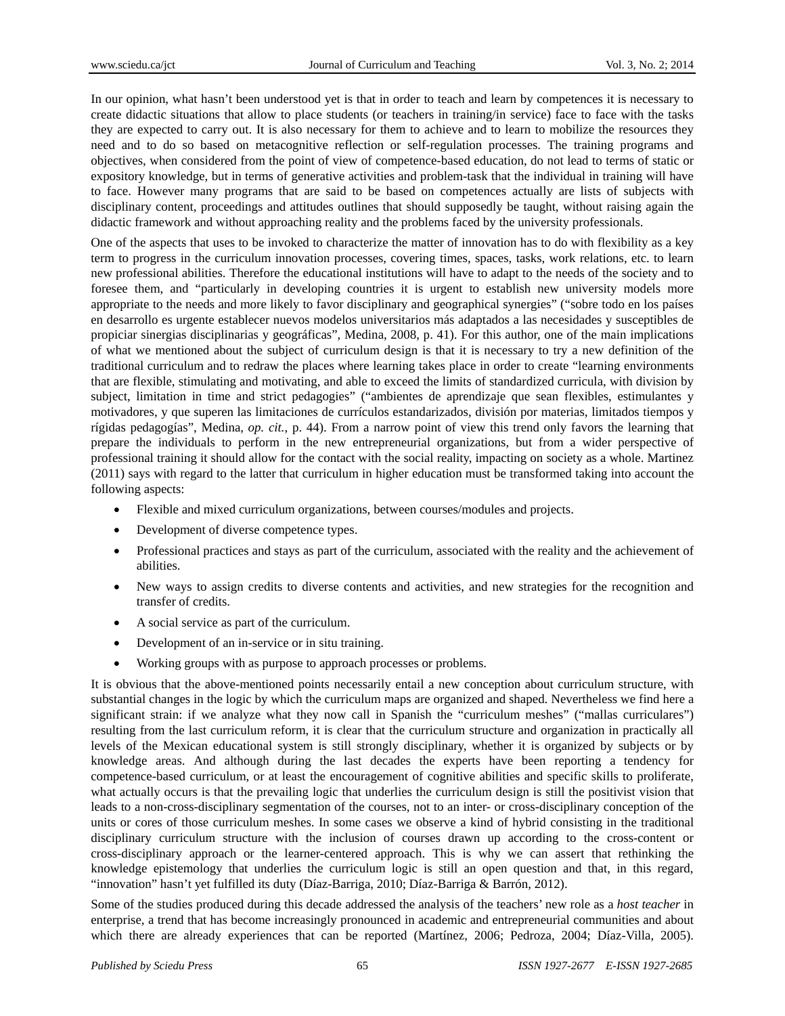In our opinion, what hasn't been understood yet is that in order to teach and learn by competences it is necessary to create didactic situations that allow to place students (or teachers in training/in service) face to face with the tasks they are expected to carry out. It is also necessary for them to achieve and to learn to mobilize the resources they need and to do so based on metacognitive reflection or self-regulation processes. The training programs and objectives, when considered from the point of view of competence-based education, do not lead to terms of static or expository knowledge, but in terms of generative activities and problem-task that the individual in training will have to face. However many programs that are said to be based on competences actually are lists of subjects with disciplinary content, proceedings and attitudes outlines that should supposedly be taught, without raising again the didactic framework and without approaching reality and the problems faced by the university professionals.

One of the aspects that uses to be invoked to characterize the matter of innovation has to do with flexibility as a key term to progress in the curriculum innovation processes, covering times, spaces, tasks, work relations, etc. to learn new professional abilities. Therefore the educational institutions will have to adapt to the needs of the society and to foresee them, and "particularly in developing countries it is urgent to establish new university models more appropriate to the needs and more likely to favor disciplinary and geographical synergies" ("sobre todo en los países en desarrollo es urgente establecer nuevos modelos universitarios más adaptados a las necesidades y susceptibles de propiciar sinergias disciplinarias y geográficas", Medina, 2008, p. 41). For this author, one of the main implications of what we mentioned about the subject of curriculum design is that it is necessary to try a new definition of the traditional curriculum and to redraw the places where learning takes place in order to create "learning environments that are flexible, stimulating and motivating, and able to exceed the limits of standardized curricula, with division by subject, limitation in time and strict pedagogies" ("ambientes de aprendizaje que sean flexibles, estimulantes y motivadores, y que superen las limitaciones de currículos estandarizados, división por materias, limitados tiempos y rígidas pedagogías", Medina, *op. cit.*, p. 44). From a narrow point of view this trend only favors the learning that prepare the individuals to perform in the new entrepreneurial organizations, but from a wider perspective of professional training it should allow for the contact with the social reality, impacting on society as a whole. Martinez (2011) says with regard to the latter that curriculum in higher education must be transformed taking into account the following aspects:

- Flexible and mixed curriculum organizations, between courses/modules and projects.
- Development of diverse competence types.
- Professional practices and stays as part of the curriculum, associated with the reality and the achievement of abilities.
- New ways to assign credits to diverse contents and activities, and new strategies for the recognition and transfer of credits.
- A social service as part of the curriculum.
- Development of an in-service or in situ training.
- Working groups with as purpose to approach processes or problems.

It is obvious that the above-mentioned points necessarily entail a new conception about curriculum structure, with substantial changes in the logic by which the curriculum maps are organized and shaped. Nevertheless we find here a significant strain: if we analyze what they now call in Spanish the "curriculum meshes" ("mallas curriculares") resulting from the last curriculum reform, it is clear that the curriculum structure and organization in practically all levels of the Mexican educational system is still strongly disciplinary, whether it is organized by subjects or by knowledge areas. And although during the last decades the experts have been reporting a tendency for competence-based curriculum, or at least the encouragement of cognitive abilities and specific skills to proliferate, what actually occurs is that the prevailing logic that underlies the curriculum design is still the positivist vision that leads to a non-cross-disciplinary segmentation of the courses, not to an inter- or cross-disciplinary conception of the units or cores of those curriculum meshes. In some cases we observe a kind of hybrid consisting in the traditional disciplinary curriculum structure with the inclusion of courses drawn up according to the cross-content or cross-disciplinary approach or the learner-centered approach. This is why we can assert that rethinking the knowledge epistemology that underlies the curriculum logic is still an open question and that, in this regard, "innovation" hasn't yet fulfilled its duty (Díaz-Barriga, 2010; Díaz-Barriga & Barrón, 2012).

Some of the studies produced during this decade addressed the analysis of the teachers' new role as a *host teacher* in enterprise, a trend that has become increasingly pronounced in academic and entrepreneurial communities and about which there are already experiences that can be reported (Martínez, 2006; Pedroza, 2004; Díaz-Villa, 2005).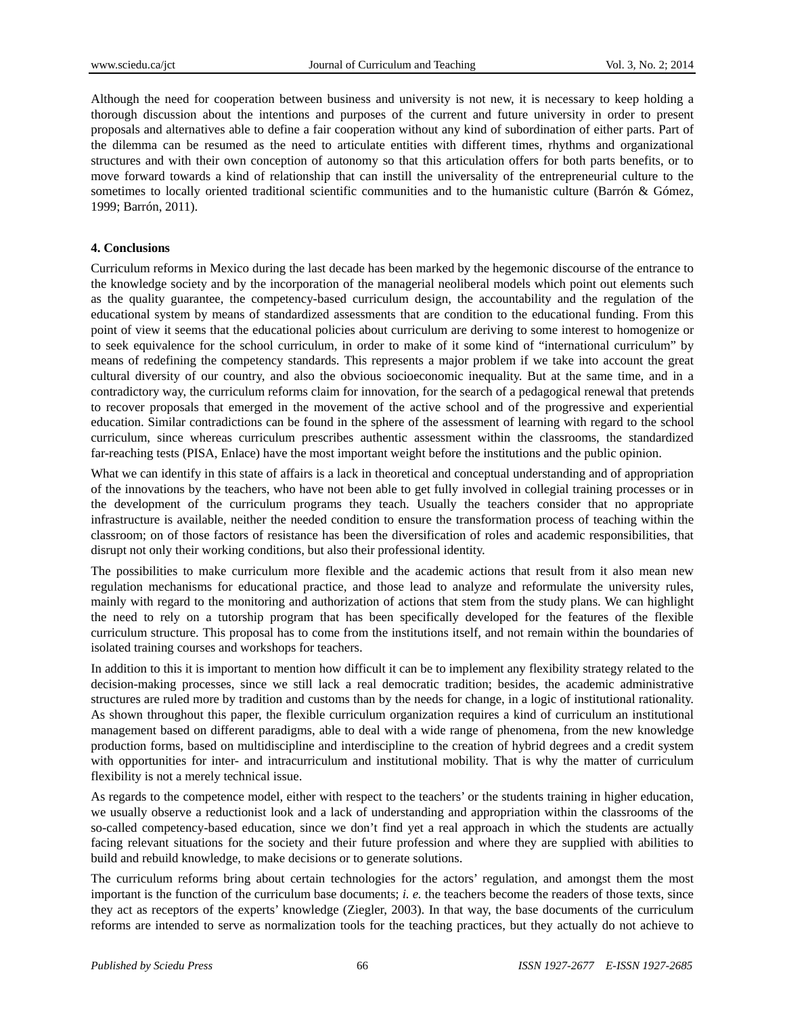Although the need for cooperation between business and university is not new, it is necessary to keep holding a thorough discussion about the intentions and purposes of the current and future university in order to present proposals and alternatives able to define a fair cooperation without any kind of subordination of either parts. Part of the dilemma can be resumed as the need to articulate entities with different times, rhythms and organizational structures and with their own conception of autonomy so that this articulation offers for both parts benefits, or to move forward towards a kind of relationship that can instill the universality of the entrepreneurial culture to the sometimes to locally oriented traditional scientific communities and to the humanistic culture (Barrón & Gómez, 1999; Barrón, 2011).

# **4. Conclusions**

Curriculum reforms in Mexico during the last decade has been marked by the hegemonic discourse of the entrance to the knowledge society and by the incorporation of the managerial neoliberal models which point out elements such as the quality guarantee, the competency-based curriculum design, the accountability and the regulation of the educational system by means of standardized assessments that are condition to the educational funding. From this point of view it seems that the educational policies about curriculum are deriving to some interest to homogenize or to seek equivalence for the school curriculum, in order to make of it some kind of "international curriculum" by means of redefining the competency standards. This represents a major problem if we take into account the great cultural diversity of our country, and also the obvious socioeconomic inequality. But at the same time, and in a contradictory way, the curriculum reforms claim for innovation, for the search of a pedagogical renewal that pretends to recover proposals that emerged in the movement of the active school and of the progressive and experiential education. Similar contradictions can be found in the sphere of the assessment of learning with regard to the school curriculum, since whereas curriculum prescribes authentic assessment within the classrooms, the standardized far-reaching tests (PISA, Enlace) have the most important weight before the institutions and the public opinion.

What we can identify in this state of affairs is a lack in theoretical and conceptual understanding and of appropriation of the innovations by the teachers, who have not been able to get fully involved in collegial training processes or in the development of the curriculum programs they teach. Usually the teachers consider that no appropriate infrastructure is available, neither the needed condition to ensure the transformation process of teaching within the classroom; on of those factors of resistance has been the diversification of roles and academic responsibilities, that disrupt not only their working conditions, but also their professional identity.

The possibilities to make curriculum more flexible and the academic actions that result from it also mean new regulation mechanisms for educational practice, and those lead to analyze and reformulate the university rules, mainly with regard to the monitoring and authorization of actions that stem from the study plans. We can highlight the need to rely on a tutorship program that has been specifically developed for the features of the flexible curriculum structure. This proposal has to come from the institutions itself, and not remain within the boundaries of isolated training courses and workshops for teachers.

In addition to this it is important to mention how difficult it can be to implement any flexibility strategy related to the decision-making processes, since we still lack a real democratic tradition; besides, the academic administrative structures are ruled more by tradition and customs than by the needs for change, in a logic of institutional rationality. As shown throughout this paper, the flexible curriculum organization requires a kind of curriculum an institutional management based on different paradigms, able to deal with a wide range of phenomena, from the new knowledge production forms, based on multidiscipline and interdiscipline to the creation of hybrid degrees and a credit system with opportunities for inter- and intracurriculum and institutional mobility. That is why the matter of curriculum flexibility is not a merely technical issue.

As regards to the competence model, either with respect to the teachers' or the students training in higher education, we usually observe a reductionist look and a lack of understanding and appropriation within the classrooms of the so-called competency-based education, since we don't find yet a real approach in which the students are actually facing relevant situations for the society and their future profession and where they are supplied with abilities to build and rebuild knowledge, to make decisions or to generate solutions.

The curriculum reforms bring about certain technologies for the actors' regulation, and amongst them the most important is the function of the curriculum base documents; *i. e.* the teachers become the readers of those texts, since they act as receptors of the experts' knowledge (Ziegler, 2003). In that way, the base documents of the curriculum reforms are intended to serve as normalization tools for the teaching practices, but they actually do not achieve to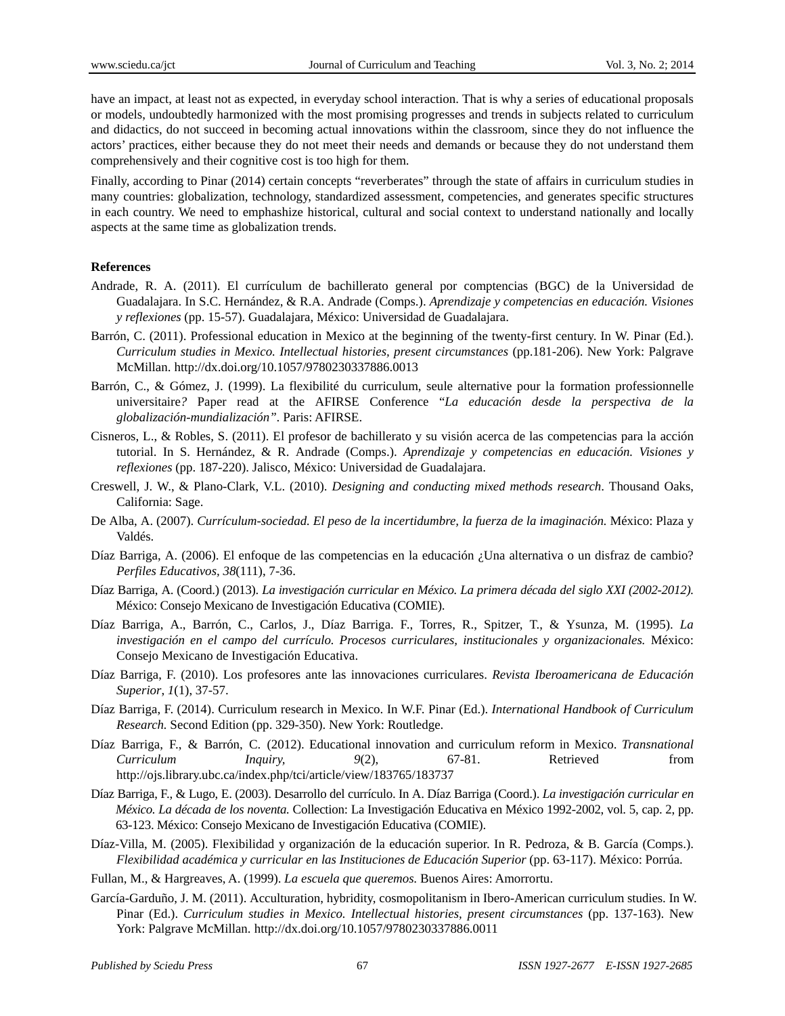have an impact, at least not as expected, in everyday school interaction. That is why a series of educational proposals or models, undoubtedly harmonized with the most promising progresses and trends in subjects related to curriculum and didactics, do not succeed in becoming actual innovations within the classroom, since they do not influence the actors' practices, either because they do not meet their needs and demands or because they do not understand them comprehensively and their cognitive cost is too high for them.

Finally, according to Pinar (2014) certain concepts "reverberates" through the state of affairs in curriculum studies in many countries: globalization, technology, standardized assessment, competencies, and generates specific structures in each country. We need to emphashize historical, cultural and social context to understand nationally and locally aspects at the same time as globalization trends.

# **References**

- Andrade, R. A. (2011). El currículum de bachillerato general por comptencias (BGC) de la Universidad de Guadalajara. In S.C. Hernández, & R.A. Andrade (Comps.). *Aprendizaje y competencias en educación. Visiones y reflexiones* (pp. 15-57). Guadalajara, México: Universidad de Guadalajara.
- Barrón, C. (2011). Professional education in Mexico at the beginning of the twenty-first century. In W. Pinar (Ed.). *Curriculum studies in Mexico. Intellectual histories, present circumstances* (pp.181-206). New York: Palgrave McMillan. http://dx.doi.org/10.1057/9780230337886.0013
- Barrón, C., & Gómez, J. (1999). La flexibilité du curriculum, seule alternative pour la formation professionnelle universitaire*?* Paper read at the AFIRSE Conference "*La educación desde la perspectiva de la globalización-mundialización".* Paris: AFIRSE.
- Cisneros, L., & Robles, S. (2011). El profesor de bachillerato y su visión acerca de las competencias para la acción tutorial. In S. Hernández, & R. Andrade (Comps.). *Aprendizaje y competencias en educación. Visiones y reflexiones* (pp. 187-220). Jalisco, México: Universidad de Guadalajara.
- Creswell, J. W., & Plano-Clark, V.L. (2010). *Designing and conducting mixed methods research*. Thousand Oaks, California: Sage.
- De Alba, A. (2007). *Currículum-sociedad. El peso de la incertidumbre, la fuerza de la imaginación*. México: Plaza y Valdés.
- Díaz Barriga, A. (2006). El enfoque de las competencias en la educación ¿Una alternativa o un disfraz de cambio? *Perfiles Educativos, 38*(111), 7-36.
- Díaz Barriga, A. (Coord.) (2013). *La investigación curricular en México. La primera década del siglo XXI (2002-2012).*  México: Consejo Mexicano de Investigación Educativa (COMIE).
- Díaz Barriga, A., Barrón, C., Carlos, J., Díaz Barriga. F., Torres, R., Spitzer, T., & Ysunza, M. (1995). *La investigación en el campo del currículo. Procesos curriculares, institucionales y organizacionales.* México: Consejo Mexicano de Investigación Educativa.
- Díaz Barriga, F. (2010). Los profesores ante las innovaciones curriculares. *Revista Iberoamericana de Educación Superior*, *1*(1), 37-57.
- Díaz Barriga, F. (2014). Curriculum research in Mexico. In W.F. Pinar (Ed.). *International Handbook of Curriculum Research.* Second Edition (pp. 329-350). New York: Routledge.
- Díaz Barriga, F., & Barrón, C. (2012). Educational innovation and curriculum reform in Mexico. *Transnational Curriculum Inquiry, 9*(2), 67-81. Retrieved from http://ojs.library.ubc.ca/index.php/tci/article/view/183765/183737
- Díaz Barriga, F., & Lugo, E. (2003). Desarrollo del currículo. In A. Díaz Barriga (Coord.). *La investigación curricular en México. La década de los noventa.* Collection: La Investigación Educativa en México 1992-2002, vol. 5, cap. 2, pp. 63-123. México: Consejo Mexicano de Investigación Educativa (COMIE).
- Díaz-Villa, M. (2005). Flexibilidad y organización de la educación superior. In R. Pedroza, & B. García (Comps.). *Flexibilidad académica y curricular en las Instituciones de Educación Superior* (pp. 63-117). México: Porrúa.
- Fullan, M., & Hargreaves, A. (1999). *La escuela que queremos*. Buenos Aires: Amorrortu.
- García-Garduño, J. M. (2011). Acculturation, hybridity, cosmopolitanism in Ibero-American curriculum studies. In W. Pinar (Ed.). *Curriculum studies in Mexico. Intellectual histories, present circumstances* (pp. 137-163). New York: Palgrave McMillan. http://dx.doi.org/10.1057/9780230337886.0011